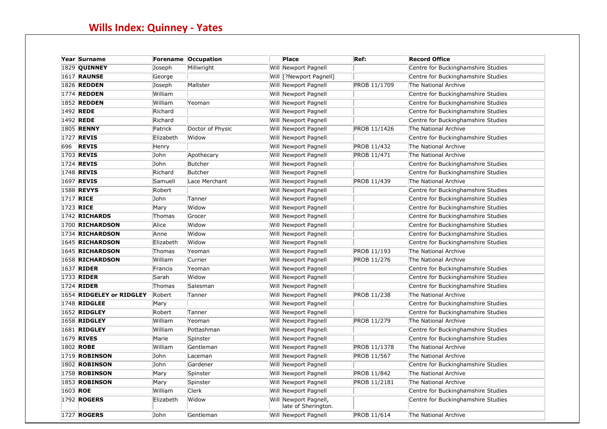| Year Surname             |           | Forename Occupation | Place                                        | Ref:         | <b>Record Office</b>               |
|--------------------------|-----------|---------------------|----------------------------------------------|--------------|------------------------------------|
| <b>1829 OUINNEY</b>      | Joseph    | Millwright          | Will Newport Pagnell                         |              | Centre for Buckinghamshire Studies |
| <b>1617 RAUNSE</b>       | George    |                     | Will [?Newport Pagnell]                      |              | Centre for Buckinghamshire Studies |
| 1826 <b>REDDEN</b>       | Joseph    | Maltster            | Will Newport Pagnell                         | PROB 11/1709 | The National Archive               |
| 1774 <b>REDDEN</b>       | William   |                     | Will Newport Pagnell                         |              | Centre for Buckinghamshire Studies |
| <b>1852 REDDEN</b>       | William   | Yeoman              | Will Newport Pagnell                         |              | Centre for Buckinghamshire Studies |
| 1492 REDE                | Richard   |                     | Will Newport Pagnell                         |              | Centre for Buckinghamshire Studies |
| 1492 REDE                | Richard   |                     | Will Newport Pagnell                         |              | Centre for Buckinghamshire Studies |
| 1805 <b>RENNY</b>        | Patrick   | Doctor of Physic    | Will Newport Pagnell                         | PROB 11/1426 | The National Archive               |
| 1727 <b>REVIS</b>        | Elizabeth | Widow               | Will Newport Pagnell                         |              | Centre for Buckinghamshire Studies |
| 696 <b>REVIS</b>         | Henry     |                     | Will Newport Pagnell                         | PROB 11/432  | The National Archive               |
| 1703 REVIS               | John      | Apothecary          | Will Newport Pagnell                         | PROB 11/471  | The National Archive               |
| 1724 <b>REVIS</b>        | John      | Butcher             | Will Newport Pagnell                         |              | Centre for Buckinghamshire Studies |
| 1748 <b>REVIS</b>        | Richard   | Butcher             | Will Newport Pagnell                         |              | Centre for Buckinghamshire Studies |
| 1697 <b>REVIS</b>        | Samuell   | Lace Merchant       | Will Newport Pagnell                         | PROB 11/439  | The National Archive               |
| 1588 <b>REVYS</b>        | Robert    |                     | Will Newport Pagnell                         |              | Centre for Buckinghamshire Studies |
| 1717 RICE                | John      | Tanner              | Will Newport Pagnell                         |              | Centre for Buckinghamshire Studies |
| 1723 RICE                | Mary      | Widow               | Will Newport Pagnell                         |              | Centre for Buckinghamshire Studies |
| <b>1742 RICHARDS</b>     | Thomas    | Grocer              | Will Newport Pagnell                         |              | Centre for Buckinghamshire Studies |
| 1700 RICHARDSON          | Alice     | Widow               | Will Newport Pagnell                         |              | Centre for Buckinghamshire Studies |
| 1734 RICHARDSON          | Anne      | Widow               | Will Newport Pagnell                         |              | Centre for Buckinghamshire Studies |
| 1645 RICHARDSON          | Elizabeth | Widow               | Will Newport Pagnell                         |              | Centre for Buckinghamshire Studies |
| 1645 RICHARDSON          | Thomas    | Yeoman              | Will Newport Pagnell                         | PROB 11/193  | The National Archive               |
| 1658 RICHARDSON          | William   | Currier             | Will Newport Pagnell                         | PROB 11/276  | The National Archive               |
| 1637 <b>RIDER</b>        | Francis   | Yeoman              | Will Newport Pagnell                         |              | Centre for Buckinghamshire Studies |
| 1733 RIDER               | Sarah     | Widow               | Will Newport Pagnell                         |              | Centre for Buckinghamshire Studies |
| 1724 <b>RIDER</b>        | Thomas    | Salesman            | Will Newport Pagnell                         |              | Centre for Buckinghamshire Studies |
| 1654 RIDGELEY or RIDGLEY | Robert    | Tanner              | Will Newport Pagnell                         | PROB 11/238  | The National Archive               |
| 1748 RIDGLEE             | Mary      |                     | Will Newport Pagnell                         |              | Centre for Buckinghamshire Studies |
| <b>1652 RIDGLEY</b>      | Robert    | Tanner              | Will Newport Pagnell                         |              | Centre for Buckinghamshire Studies |
| <b>1658 RIDGLEY</b>      | William   | Yeoman              | Will Newport Pagnell                         | PROB 11/279  | The National Archive               |
| <b>1681 RIDGLEY</b>      | William   | Pottashman          | Will Newport Pagnell                         |              | Centre for Buckinghamshire Studies |
| 1679 RIVES               | Marie     | Spinster            | Will Newport Pagnell                         |              | Centre for Buckinghamshire Studies |
| 1802 ROBE                | William   | Gentleman           | Will Newport Pagnell                         | PROB 11/1378 | The National Archive               |
| <b>1719 ROBINSON</b>     | John      | Laceman             | Will Newport Pagnell                         | PROB 11/567  | The National Archive               |
| <b>1802 ROBINSON</b>     | John      | Gardener            | Will Newport Pagnell                         |              | Centre for Buckinghamshire Studies |
| <b>1758 ROBINSON</b>     | Mary      | Spinster            | Will Newport Pagnell                         | PROB 11/842  | The National Archive               |
| <b>1853 ROBINSON</b>     | Mary      | Spinster            | Will Newport Pagnell                         | PROB 11/2181 | The National Archive               |
| 1603 ROE                 | William   | <b>Clerk</b>        | Will Newport Pagnell                         |              | Centre for Buckinghamshire Studies |
| 1792 <b>ROGERS</b>       | Elizabeth | Widow               | Will Newport Pagnell,<br>late of Sherington. |              | Centre for Buckinghamshire Studies |
| 1727 <b>ROGERS</b>       | John      | Gentleman           | Will Newport Pagnell                         | PROB 11/614  | The National Archive               |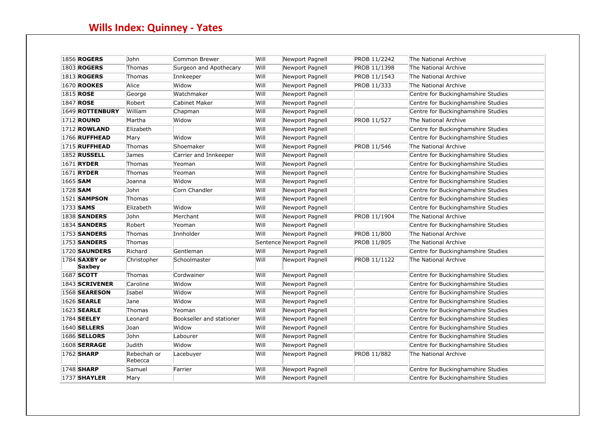| 1856 <b>ROGERS</b>                    | John                   | Common Brewer            | Will | Newport Pagnell          | PROB 11/2242       | The National Archive               |
|---------------------------------------|------------------------|--------------------------|------|--------------------------|--------------------|------------------------------------|
| <b>1803 ROGERS</b>                    | Thomas                 | Surgeon and Apothecary   | Will | Newport Pagnell          | PROB 11/1398       | The National Archive               |
| <b>1813 ROGERS</b>                    | Thomas                 | Innkeeper                | Will | Newport Pagnell          | PROB 11/1543       | The National Archive               |
| <b>1670 ROOKES</b>                    | Alice                  | Widow                    | Will | Newport Pagnell          | PROB 11/333        | The National Archive               |
| <b>1815 ROSE</b>                      | George                 | Watchmaker               | Will | Newport Pagnell          |                    | Centre for Buckinghamshire Studies |
| 1847 <b>ROSE</b>                      | Robert                 | <b>Cabinet Maker</b>     | Will | Newport Pagnell          |                    | Centre for Buckinghamshire Studies |
| 1649 ROTTENBURY                       | William                | Chapman                  | Will | Newport Pagnell          |                    | Centre for Buckinghamshire Studies |
| <b>1712 ROUND</b>                     | Martha                 | Widow                    | Will | Newport Pagnell          | <b>PROB 11/527</b> | The National Archive               |
| <b>1712 ROWLAND</b>                   | Elizabeth              |                          | Will | Newport Pagnell          |                    | Centre for Buckinghamshire Studies |
| <b>1766 RUFFHEAD</b>                  | Mary                   | Widow                    | Will | Newport Pagnell          |                    | Centre for Buckinghamshire Studies |
| <b>1715 RUFFHEAD</b>                  | Thomas                 | Shoemaker                | Will | Newport Pagnell          | <b>PROB 11/546</b> | The National Archive               |
| <b>1852 RUSSELL</b>                   | James                  | Carrier and Innkeeper    | Will | Newport Pagnell          |                    | Centre for Buckinghamshire Studies |
| 1671 <b>RYDER</b>                     | Thomas                 | Yeoman                   | Will | Newport Pagnell          |                    | Centre for Buckinghamshire Studies |
| 1671 <b>RYDER</b>                     | Thomas                 | Yeoman                   | Will | Newport Pagnell          |                    | Centre for Buckinghamshire Studies |
| 1665 SAM                              | Joanna                 | Widow                    | Will | Newport Pagnell          |                    | Centre for Buckinghamshire Studies |
| 1728 <b>SAM</b>                       | John                   | Corn Chandler            | Will | Newport Pagnell          |                    | Centre for Buckinghamshire Studies |
| <b>1521 SAMPSON</b>                   | Thomas                 |                          | Will | Newport Pagnell          |                    | Centre for Buckinghamshire Studies |
| 1733 <b>SAMS</b>                      | Elizabeth              | Widow                    | Will | Newport Pagnell          |                    | Centre for Buckinghamshire Studies |
| <b>1838 SANDERS</b>                   | John                   | Merchant                 | Will | Newport Pagnell          | PROB 11/1904       | The National Archive               |
| <b>1834 SANDERS</b>                   | Robert                 | Yeoman                   | Will | Newport Pagnell          |                    | Centre for Buckinghamshire Studies |
| <b>1753 SANDERS</b>                   | Thomas                 | Innholder                | Will | Newport Pagnell          | <b>PROB 11/800</b> | The National Archive               |
| <b>1753 SANDERS</b>                   | Thomas                 |                          |      | Sentence Newport Pagnell | PROB 11/805        | The National Archive               |
| <b>1720 SAUNDERS</b>                  | Richard                | Gentleman                | Will | Newport Pagnell          |                    | Centre for Buckinghamshire Studies |
| 1784 <b>SAXBY</b> or<br><b>Saxbey</b> | Christopher            | Schoolmaster             | Will | Newport Pagnell          | PROB 11/1122       | The National Archive               |
| 1687 SCOTT                            | Thomas                 | Cordwainer               | Will | Newport Pagnell          |                    | Centre for Buckinghamshire Studies |
| 1843 SCRIVENER                        | Caroline               | Widow                    | Will | Newport Pagnell          |                    | Centre for Buckinghamshire Studies |
| <b>1568 SEARESON</b>                  | Isabel                 | Widow                    | Will | Newport Pagnell          |                    | Centre for Buckinghamshire Studies |
| 1626 <b>SEARLE</b>                    | Jane                   | Widow                    | Will | Newport Pagnell          |                    | Centre for Buckinghamshire Studies |
| <b>1623 SEARLE</b>                    | Thomas                 | Yeoman                   | Will | Newport Pagnell          |                    | Centre for Buckinghamshire Studies |
| 1784 <b>SEELEY</b>                    | Leonard                | Bookseller and stationer | Will | Newport Pagnell          |                    | Centre for Buckinghamshire Studies |
| <b>1640 SELLERS</b>                   | Joan                   | Widow                    | Will | Newport Pagnell          |                    | Centre for Buckinghamshire Studies |
| <b>1686 SELLORS</b>                   | John                   | Labourer                 | Will | Newport Pagnell          |                    | Centre for Buckinghamshire Studies |
| <b>1608 SERRAGE</b>                   | Judith                 | Widow                    | Will | Newport Pagnell          |                    | Centre for Buckinghamshire Studies |
| 1762 <b>SHARP</b>                     | Rebechah or<br>Rebecca | Lacebuyer                | Will | Newport Pagnell          | <b>PROB 11/882</b> | The National Archive               |
| 1748 <b>SHARP</b>                     | Samuel                 | Farrier                  | Will | Newport Pagnell          |                    | Centre for Buckinghamshire Studies |
| <b>1737 SHAYLER</b>                   | Mary                   |                          | Will | Newport Pagnell          |                    | Centre for Buckinghamshire Studies |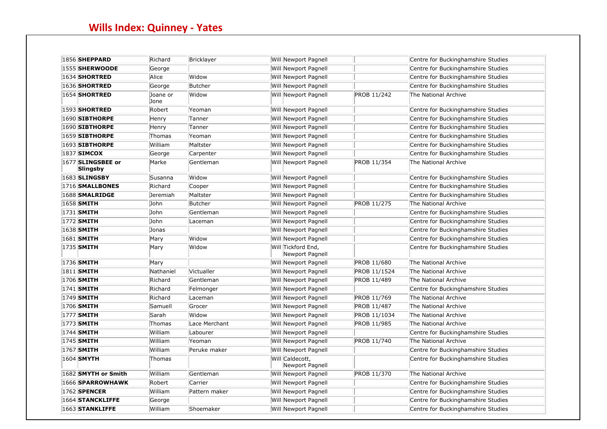| <b>1856 SHEPPARD</b>          | Richard          | Bricklayer    | Will Newport Pagnell                  |                    | Centre for Buckinghamshire Studies |
|-------------------------------|------------------|---------------|---------------------------------------|--------------------|------------------------------------|
| <b>1555 SHERWOODE</b>         | George           |               | Will Newport Pagnell                  |                    | Centre for Buckinghamshire Studies |
| <b>1634 SHORTRED</b>          | Alice            | Widow         | Will Newport Pagnell                  |                    | Centre for Buckinghamshire Studies |
| <b>1636 SHORTRED</b>          | George           | Butcher       | Will Newport Pagnell                  |                    | Centre for Buckinghamshire Studies |
| <b>1654 SHORTRED</b>          | Joane or<br>Jone | Widow         | Will Newport Pagnell                  | PROB 11/242        | The National Archive               |
| <b>1593 SHORTRED</b>          | Robert           | Yeoman        | Will Newport Pagnell                  |                    | Centre for Buckinghamshire Studies |
| <b>1690 SIBTHORPE</b>         | Henry            | Tanner        | Will Newport Pagnell                  |                    | Centre for Buckinghamshire Studies |
| $ 1690 $ SIBTHORPE            | Henry            | Tanner        | Will Newport Pagnell                  |                    | Centre for Buckinghamshire Studies |
| <b>1659 SIBTHORPE</b>         | Thomas           | Yeoman        | Will Newport Pagnell                  |                    | Centre for Buckinghamshire Studies |
| <b>1693 SIBTHORPE</b>         | William          | Maltster      | Will Newport Pagnell                  |                    | Centre for Buckinghamshire Studies |
| 1837 SIMCOX                   | George           | Carpenter     | Will Newport Pagnell                  |                    | Centre for Buckinghamshire Studies |
| 1677 SLINGSBEE or<br>Slingsby | Marke            | Gentleman     | Will Newport Pagnell                  | PROB 11/354        | The National Archive               |
| <b>1683 SLINGSBY</b>          | Susanna          | Widow         | Will Newport Pagnell                  |                    | Centre for Buckinghamshire Studies |
| 1716 SMALLBONES               | Richard          | Cooper        | Will Newport Pagnell                  |                    | Centre for Buckinghamshire Studies |
| 1688 SMALRIDGE                | Jeremiah         | Maltster      | Will Newport Pagnell                  |                    | Centre for Buckinghamshire Studies |
| 1658 SMITH                    | John             | Butcher       | Will Newport Pagnell                  | <b>PROB 11/275</b> | The National Archive               |
| 1731 <b>SMITH</b>             | John             | Gentleman     | Will Newport Pagnell                  |                    | Centre for Buckinghamshire Studies |
| 1772 <b>SMITH</b>             | John             | Laceman       | Will Newport Pagnell                  |                    | Centre for Buckinghamshire Studies |
| 1638 SMITH                    | Jonas            |               | Will Newport Pagnell                  |                    | Centre for Buckinghamshire Studies |
| 1681 SMITH                    | Mary             | Widow         | Will Newport Pagnell                  |                    | Centre for Buckinghamshire Studies |
| 1735 SMITH                    | Mary             | Widow         | Will Tickford End,<br>Newport Pagnell |                    | Centre for Buckinghamshire Studies |
| 1736 <b>SMITH</b>             | Mary             |               | Will Newport Pagnell                  | PROB 11/680        | The National Archive               |
| 1811 SMITH                    | Nathaniel        | Victualler    | Will Newport Pagnell                  | PROB 11/1524       | The National Archive               |
| 1706 SMITH                    | Richard          | Gentleman     | Will Newport Pagnell                  | PROB 11/489        | The National Archive               |
| 1741 <b>SMITH</b>             | Richard          | Felmonger     | Will Newport Pagnell                  |                    | Centre for Buckinghamshire Studies |
| 1749 SMITH                    | Richard          | Laceman       | Will Newport Pagnell                  | PROB 11/769        | The National Archive               |
| 1706 SMITH                    | Samuell          | Grocer        | Will Newport Pagnell                  | PROB 11/487        | The National Archive               |
| 1777 <b>SMITH</b>             | Sarah            | Widow         | Will Newport Pagnell                  | PROB 11/1034       | The National Archive               |
| 1773 <b>SMITH</b>             | Thomas           | Lace Merchant | Will Newport Pagnell                  | PROB 11/985        | The National Archive               |
| 1744 <b>SMITH</b>             | William          | Labourer      | Will Newport Pagnell                  |                    | Centre for Buckinghamshire Studies |
| 1745 SMITH                    | William          | Yeoman        | Will Newport Pagnell                  | PROB 11/740        | The National Archive               |
| 1767 SMITH                    | William          | Peruke maker  | <b>Will Newport Pagnell</b>           |                    | Centre for Buckinghamshire Studies |
| 1604 SMYTH                    | Thomas           |               | Will Caldecott,<br>Newport Pagnell    |                    | Centre for Buckinghamshire Studies |
| 1682 SMYTH or Smith           | William          | Gentleman     | Will Newport Pagnell                  | PROB 11/370        | The National Archive               |
| 1666 SPARROWHAWK              | Robert           | Carrier       | Will Newport Pagnell                  |                    | Centre for Buckinghamshire Studies |
| 1762 <b>SPENCER</b>           | William          | Pattern maker | Will Newport Pagnell                  |                    | Centre for Buckinghamshire Studies |
| 1664 STANCKLIFFE              | George           |               | <b>Will Newport Pagnell</b>           |                    | Centre for Buckinghamshire Studies |
| 1663 STANKLIFFE               | William          | Shoemaker     | Will Newport Pagnell                  |                    | Centre for Buckinghamshire Studies |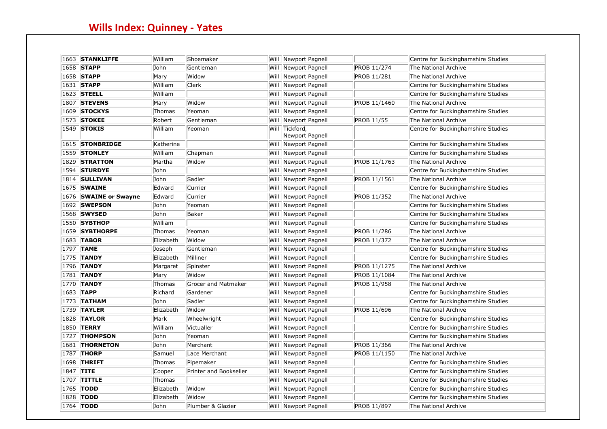|      | 1663 STANKLIFFE       | William   | Shoemaker                  |      | Will Newport Pagnell         |                   | Centre for Buckinghamshire Studies |
|------|-----------------------|-----------|----------------------------|------|------------------------------|-------------------|------------------------------------|
|      | 1658 STAPP            | John      | Gentleman                  |      | Will Newport Pagnell         | PROB 11/274       | The National Archive               |
|      | 1658 STAPP            | Mary      | Widow                      |      | Will Newport Pagnell         | PROB 11/281       | The National Archive               |
|      | 1631 STAPP            | William   | <b>Clerk</b>               |      | Will Newport Pagnell         |                   | Centre for Buckinghamshire Studies |
|      | 1623 STEELL           | William   |                            |      | Will Newport Pagnell         |                   | Centre for Buckinghamshire Studies |
|      | <b>1807 STEVENS</b>   | Mary      | Widow                      | Will | Newport Pagnell              | PROB 11/1460      | The National Archive               |
|      | 1609 STOCKYS          | Thomas    | Yeoman                     |      | Will Newport Pagnell         |                   | Centre for Buckinghamshire Studies |
|      | 1573 STOKEE           | Robert    | Gentleman                  | Will | Newport Pagnell              | <b>PROB 11/55</b> | The National Archive               |
| 1549 | <b>STOKIS</b>         | William   | Yeoman                     | Will | Tickford,<br>Newport Pagnell |                   | Centre for Buckinghamshire Studies |
|      | 1615 STONBRIDGE       | Katherine |                            |      | Will Newport Pagnell         |                   | Centre for Buckinghamshire Studies |
|      | <b>1559 STONLEY</b>   | William   | Chapman                    |      | Will Newport Pagnell         |                   | Centre for Buckinghamshire Studies |
|      | <b>1829 STRATTON</b>  | Martha    | Widow                      |      | Will Newport Pagnell         | PROB 11/1763      | The National Archive               |
|      | $1594$ STURDYE        | John      |                            | Will | Newport Pagnell              |                   | Centre for Buckinghamshire Studies |
|      | <b>1814 SULLIVAN</b>  | John      | Sadler                     |      | Will Newport Pagnell         | PROB 11/1561      | The National Archive               |
|      | 1675 SWAINE           | Edward    | Currier                    | Will | Newport Pagnell              |                   | Centre for Buckinghamshire Studies |
|      | 1676 SWAINE or Swayne | Edward    | Currier                    |      | Will Newport Pagnell         | PROB 11/352       | The National Archive               |
|      | <b>1692 SWEPSON</b>   | John      | Yeoman                     |      | Will Newport Pagnell         |                   | Centre for Buckinghamshire Studies |
|      | 1568 SWYSED           | John      | Baker                      |      | Will Newport Pagnell         |                   | Centre for Buckinghamshire Studies |
|      | <b>1550 SYBTHOP</b>   | William   |                            |      | Will Newport Pagnell         |                   | Centre for Buckinghamshire Studies |
|      | <b>1659 SYBTHORPE</b> | Thomas    | Yeoman                     |      | Will Newport Pagnell         | PROB 11/286       | The National Archive               |
|      | 1683 TABOR            | Elizabeth | Widow                      |      | Will Newport Pagnell         | PROB 11/372       | The National Archive               |
|      | 1797 <b>TAME</b>      | Joseph    | Gentleman                  |      | Will Newport Pagnell         |                   | Centre for Buckinghamshire Studies |
|      | 1775 TANDY            | Elizabeth | Milliner                   |      | Will Newport Pagnell         |                   | Centre for Buckinghamshire Studies |
|      | 1796 TANDY            | Margaret  | Spinster                   | Will | Newport Pagnell              | PROB 11/1275      | The National Archive               |
|      | 1781 <b>TANDY</b>     | Mary      | Widow                      |      | Will Newport Pagnell         | PROB 11/1084      | The National Archive               |
|      | 1770 TANDY            | Thomas    | <b>Grocer and Matmaker</b> | Will | Newport Pagnell              | PROB 11/958       | The National Archive               |
|      | 1683 TAPP             | Richard   | Gardener                   |      | Will Newport Pagnell         |                   | Centre for Buckinghamshire Studies |
|      | 1773 <b>TATHAM</b>    | John      | Sadler                     |      | Will Newport Pagnell         |                   | Centre for Buckinghamshire Studies |
|      | $1739$ TAYLER         | Elizabeth | Widow                      |      | Will Newport Pagnell         | PROB 11/696       | The National Archive               |
|      | <b>1828 TAYLOR</b>    | Mark      | Wheelwright                |      | Will Newport Pagnell         |                   | Centre for Buckinghamshire Studies |
|      | 1850 <b>TERRY</b>     | William   | Victualler                 |      | Will Newport Pagnell         |                   | Centre for Buckinghamshire Studies |
|      | <b>1727 THOMPSON</b>  | John      | Yeoman                     | Will | Newport Pagnell              |                   | Centre for Buckinghamshire Studies |
|      | 1681 THORNETON        | John      | Merchant                   |      | Will Newport Pagnell         | PROB 11/366       | The National Archive               |
|      | <b>1787 THORP</b>     | Samuel    | Lace Merchant              |      | Will Newport Pagnell         | PROB 11/1150      | The National Archive               |
|      | <b>1698 THRIFT</b>    | Thomas    | Pipemaker                  | Will | Newport Pagnell              |                   | Centre for Buckinghamshire Studies |
|      | 1847 TITE             | Cooper    | Printer and Bookseller     | Will | Newport Pagnell              |                   | Centre for Buckinghamshire Studies |
|      | 1707 TITTLE           | Thomas    |                            | Will | Newport Pagnell              |                   | Centre for Buckinghamshire Studies |
|      | 1765 <b>TODD</b>      | Elizabeth | Widow                      |      | Will Newport Pagnell         |                   | Centre for Buckinghamshire Studies |
| 1828 | <b>TODD</b>           | Elizabeth | Widow                      |      | Will Newport Pagnell         |                   | Centre for Buckinghamshire Studies |
|      | 1764 TODD             | John      | Plumber & Glazier          |      | Will Newport Pagnell         | PROB 11/897       | The National Archive               |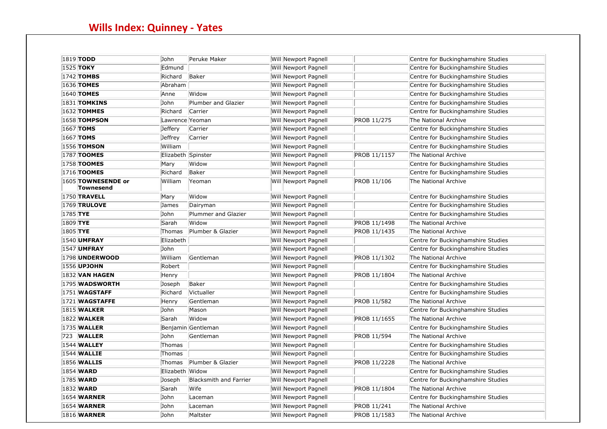| 1819 <b>TODD</b>                | John               | Peruke Maker           | Will Newport Pagnell |              | Centre for Buckinghamshire Studies |
|---------------------------------|--------------------|------------------------|----------------------|--------------|------------------------------------|
| 1525 <b>TOKY</b>                | Edmund             |                        | Will Newport Pagnell |              | Centre for Buckinghamshire Studies |
| 1742 <b>TOMBS</b>               | Richard            | Baker                  | Will Newport Pagnell |              | Centre for Buckinghamshire Studies |
| 1636 <b>TOMES</b>               | Abraham            |                        | Will Newport Pagnell |              | Centre for Buckinghamshire Studies |
| 1640 <b>TOMES</b>               | Anne               | Widow                  | Will Newport Pagnell |              | Centre for Buckinghamshire Studies |
| <b>1831 TOMKINS</b>             | John               | Plumber and Glazier    | Will Newport Pagnell |              | Centre for Buckinghamshire Studies |
| 1632 <b>TOMMES</b>              | Richard            | Carrier                | Will Newport Pagnell |              | Centre for Buckinghamshire Studies |
| <b>1658 TOMPSON</b>             | Lawrence Yeoman    |                        | Will Newport Pagnell | PROB 11/275  | The National Archive               |
| 1667 <b>TOMS</b>                | Jeffery            | Carrier                | Will Newport Pagnell |              | Centre for Buckinghamshire Studies |
| 1667 <b>TOMS</b>                | Jeffrey            | Carrier                | Will Newport Pagnell |              | Centre for Buckinghamshire Studies |
| <b>1556 TOMSON</b>              | William            |                        | Will Newport Pagnell |              | Centre for Buckinghamshire Studies |
| 1787 <b>TOOMES</b>              | Elizabeth Spinster |                        | Will Newport Pagnell | PROB 11/1157 | The National Archive               |
| 1758 <b>TOOMES</b>              | Mary               | Widow                  | Will Newport Pagnell |              | Centre for Buckinghamshire Studies |
| 1716 <b>TOOMES</b>              | Richard            | Baker                  | Will Newport Pagnell |              | Centre for Buckinghamshire Studies |
| 1605 TOWNESENDE or<br>Townesend | William            | Yeoman                 | Will Newport Pagnell | PROB 11/106  | The National Archive               |
| <b>1750 TRAVELL</b>             | Mary               | Widow                  | Will Newport Pagnell |              | Centre for Buckinghamshire Studies |
| <b>1769 TRULOVE</b>             | James              | Dairyman               | Will Newport Pagnell |              | Centre for Buckinghamshire Studies |
| 1785 TYE                        | John               | Plummer and Glazier    | Will Newport Pagnell |              | Centre for Buckinghamshire Studies |
| 1809 TYE                        | Sarah              | Widow                  | Will Newport Pagnell | PROB 11/1498 | The National Archive               |
| 1805 TYE                        | Thomas             | Plumber & Glazier      | Will Newport Pagnell | PROB 11/1435 | The National Archive               |
| <b>1540 UMFRAY</b>              | Elizabeth          |                        | Will Newport Pagnell |              | Centre for Buckinghamshire Studies |
| <b>1547 UMFRAY</b>              | John               |                        | Will Newport Pagnell |              | Centre for Buckinghamshire Studies |
| <b>1798 UNDERWOOD</b>           | William            | Gentleman              | Will Newport Pagnell | PROB 11/1302 | The National Archive               |
| 1556 <b>UPJOHN</b>              | Robert             |                        | Will Newport Pagnell |              | Centre for Buckinghamshire Studies |
| <b>1832 VAN HAGEN</b>           | Henry              |                        | Will Newport Pagnell | PROB 11/1804 | The National Archive               |
| 1795 WADSWORTH                  | Joseph             | Baker                  | Will Newport Pagnell |              | Centre for Buckinghamshire Studies |
| <b>1751 WAGSTAFF</b>            | Richard            | Victualler             | Will Newport Pagnell |              | Centre for Buckinghamshire Studies |
| $ 1721 $ WAGSTAFFE              | Henry              | Gentleman              | Will Newport Pagnell | PROB 11/582  | The National Archive               |
| <b>1815 WALKER</b>              | John               | Mason                  | Will Newport Pagnell |              | Centre for Buckinghamshire Studies |
| <b>1822 WALKER</b>              | Sarah              | Widow                  | Will Newport Pagnell | PROB 11/1655 | The National Archive               |
| <b>1735 WALLER</b>              |                    | Benjamin Gentleman     | Will Newport Pagnell |              | Centre for Buckinghamshire Studies |
| 723 <b>WALLER</b>               | John               | Gentleman              | Will Newport Pagnell | PROB 11/594  | The National Archive               |
| <b>1544 WALLEY</b>              | Thomas             |                        | Will Newport Pagnell |              | Centre for Buckinghamshire Studies |
| <b>1544 WALLIE</b>              | Thomas             |                        | Will Newport Pagnell |              | Centre for Buckinghamshire Studies |
| <b>1856 WALLIS</b>              | Thomas             | Plumber & Glazier      | Will Newport Pagnell | PROB 11/2228 | The National Archive               |
| 1854 <b>WARD</b>                | Elizabeth Widow    |                        | Will Newport Pagnell |              | Centre for Buckinghamshire Studies |
| 1785 <b>WARD</b>                | Joseph             | Blacksmith and Farrier | Will Newport Pagnell |              | Centre for Buckinghamshire Studies |
| 1832 <b>WARD</b>                | Sarah              | Wife                   | Will Newport Pagnell | PROB 11/1804 | The National Archive               |
| <b>1654 WARNER</b>              | John               | Laceman                | Will Newport Pagnell |              | Centre for Buckinghamshire Studies |
| <b>1654 WARNER</b>              | John               | Laceman                | Will Newport Pagnell | PROB 11/241  | The National Archive               |
| <b>1816 WARNER</b>              | John               | Maltster               | Will Newport Pagnell | PROB 11/1583 | The National Archive               |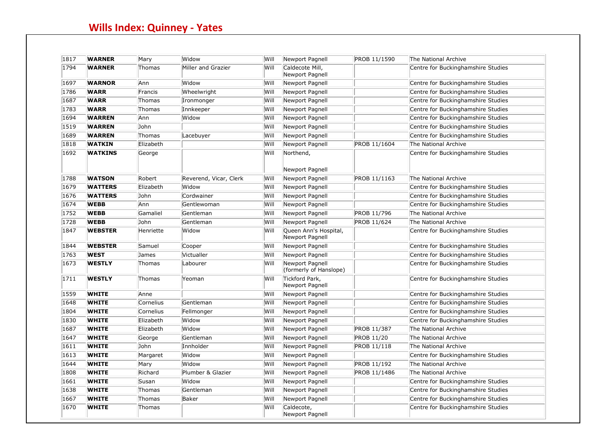| 1817 | <b>WARNER</b>  | Mary      | Widow                  | Will | Newport Pagnell                           | PROB 11/1590       | The National Archive                                       |
|------|----------------|-----------|------------------------|------|-------------------------------------------|--------------------|------------------------------------------------------------|
| 1794 | <b>WARNER</b>  | Thomas    | Miller and Grazier     | Will | Caldecote Mill,<br>Newport Pagnell        |                    | Centre for Buckinghamshire Studies                         |
| 1697 | <b>WARNOR</b>  | Ann       | Widow                  | Will | Newport Pagnell                           |                    | Centre for Buckinghamshire Studies                         |
| 1786 | <b>WARR</b>    | Francis   | Wheelwright            | Will | Newport Pagnell                           |                    | Centre for Buckinghamshire Studies                         |
| 1687 | <b>WARR</b>    | Thomas    | Ironmonger             | Will | Newport Pagnell                           |                    | Centre for Buckinghamshire Studies                         |
| 1783 | <b>WARR</b>    | Thomas    | Innkeeper              | Will | Newport Pagnell                           |                    | Centre for Buckinghamshire Studies                         |
| 1694 | <b>WARREN</b>  | Ann       | Widow                  | Will | Newport Pagnell                           |                    | Centre for Buckinghamshire Studies                         |
| 1519 | <b>WARREN</b>  | John      |                        | Will | Newport Pagnell                           |                    | Centre for Buckinghamshire Studies                         |
| 1689 | <b>WARREN</b>  | Thomas    | Lacebuyer              | Will | Newport Pagnell                           |                    | Centre for Buckinghamshire Studies                         |
| 1818 | <b>WATKIN</b>  | Elizabeth |                        | Will | Newport Pagnell                           | PROB 11/1604       | The National Archive                                       |
| 1692 | <b>WATKINS</b> | George    |                        | Will | Northend,                                 |                    | Centre for Buckinghamshire Studies                         |
| 1788 | <b>WATSON</b>  | Robert    | Reverend, Vicar, Clerk | Will | Newport Pagnell                           | PROB 11/1163       | The National Archive                                       |
| 1679 | <b>WATTERS</b> | Elizabeth | Widow                  | Will | Newport Pagnell<br>Newport Pagnell        |                    | Centre for Buckinghamshire Studies                         |
| 1676 | <b>WATTERS</b> | John      | Cordwainer             | Will | Newport Pagnell                           |                    | Centre for Buckinghamshire Studies                         |
| 1674 | <b>WEBB</b>    | Ann       | Gentlewoman            | Will | Newport Pagnell                           |                    |                                                            |
| 1752 | <b>WEBB</b>    | Gamaliel  | Gentleman              | Will | Newport Pagnell                           | PROB 11/796        | Centre for Buckinghamshire Studies<br>The National Archive |
| 1728 | <b>WEBB</b>    | John      | Gentleman              | Will | Newport Pagnell                           |                    | The National Archive                                       |
| 1847 |                |           |                        |      |                                           | PROB 11/624        |                                                            |
|      | <b>WEBSTER</b> | Henriette | Widow                  | Will | Queen Ann's Hospital,<br>Newport Pagnell  |                    | Centre for Buckinghamshire Studies                         |
| 1844 | <b>WEBSTER</b> | Samuel    | Cooper                 | Will | Newport Pagnell                           |                    | Centre for Buckinghamshire Studies                         |
| 1763 | <b>WEST</b>    | James     | Victualler             | Will | Newport Pagnell                           |                    | Centre for Buckinghamshire Studies                         |
| 1673 | <b>WESTLY</b>  | Thomas    | Labourer               | Will | Newport Pagnell<br>(formerly of Hanslope) |                    | Centre for Buckinghamshire Studies                         |
| 1711 | <b>WESTLY</b>  | Thomas    | Yeoman                 | Will | Tickford Park,<br>Newport Pagnell         |                    | Centre for Buckinghamshire Studies                         |
| 1559 | <b>WHITE</b>   | Anne      |                        | Will | Newport Pagnell                           |                    | Centre for Buckinghamshire Studies                         |
| 1648 | <b>WHITE</b>   | Cornelius | Gentleman              | Will | Newport Pagnell                           |                    | Centre for Buckinghamshire Studies                         |
| 1804 | <b>WHITE</b>   | Cornelius | Fellmonger             | Will | Newport Pagnell                           |                    | Centre for Buckinghamshire Studies                         |
| 1830 | <b>WHITE</b>   | Elizabeth | Widow                  | Will | Newport Pagnell                           |                    | Centre for Buckinghamshire Studies                         |
| 1687 | <b>WHITE</b>   | Elizabeth | Widow                  | Will | Newport Pagnell                           | PROB 11/387        | The National Archive                                       |
| 1647 | <b>WHITE</b>   | George    | Gentleman              | Will | Newport Pagnell                           | <b>PROB 11/20</b>  | The National Archive                                       |
| 1611 | <b>WHITE</b>   | John      | Innholder              | Will | Newport Pagnell                           | <b>PROB 11/118</b> | The National Archive                                       |
| 1613 | <b>WHITE</b>   | Margaret  | Widow                  | Will | Newport Pagnell                           |                    | Centre for Buckinghamshire Studies                         |
| 1644 | <b>WHITE</b>   | Mary      | Widow                  | Will | Newport Pagnell                           | PROB 11/192        | The National Archive                                       |
| 1808 | <b>WHITE</b>   | Richard   | Plumber & Glazier      | Will | Newport Pagnell                           | PROB 11/1486       | The National Archive                                       |
| 1661 | <b>WHITE</b>   | Susan     | Widow                  | Will | Newport Pagnell                           |                    | Centre for Buckinghamshire Studies                         |
| 1638 | <b>WHITE</b>   | Thomas    | Gentleman              | Will | Newport Pagnell                           |                    | Centre for Buckinghamshire Studies                         |
| 1667 | <b>WHITE</b>   | Thomas    | Baker                  | Will | Newport Pagnell                           |                    | Centre for Buckinghamshire Studies                         |
| 1670 | <b>WHITE</b>   | Thomas    |                        | Will | Caldecote,<br>Newport Pagnell             |                    | Centre for Buckinghamshire Studies                         |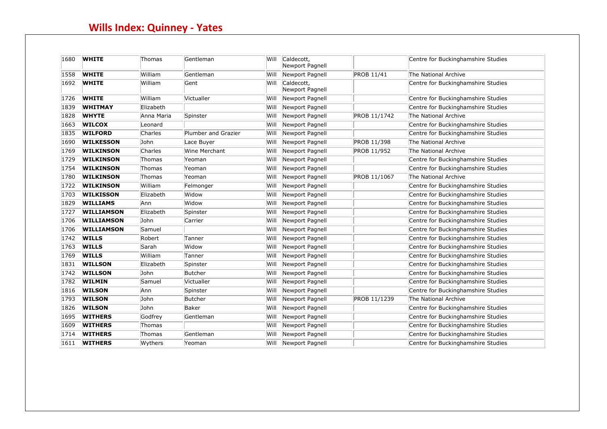| 1680 | <b>WHITE</b>      | Thomas     | Gentleman           | Will  | Caldecott,<br>Newport Pagnell |                   | Centre for Buckinghamshire Studies |
|------|-------------------|------------|---------------------|-------|-------------------------------|-------------------|------------------------------------|
| 1558 | <b>WHITE</b>      | William    | Gentleman           | Will  | Newport Pagnell               | <b>PROB 11/41</b> | The National Archive               |
| 1692 | <b>WHITE</b>      | William    | Gent                | Will  | Caldecott,<br>Newport Pagnell |                   | Centre for Buckinghamshire Studies |
| 1726 | <b>WHITE</b>      | William    | Victualler          | Will  | Newport Pagnell               |                   | Centre for Buckinghamshire Studies |
| 1839 | <b>WHITMAY</b>    | Elizabeth  |                     | Will  | Newport Pagnell               |                   | Centre for Buckinghamshire Studies |
| 1828 | <b>WHYTE</b>      | Anna Maria | Spinster            | Will  | Newport Pagnell               | PROB 11/1742      | The National Archive               |
| 1663 | <b>WILCOX</b>     | Leonard    |                     | Will  | Newport Pagnell               |                   | Centre for Buckinghamshire Studies |
| 1835 | <b>WILFORD</b>    | Charles    | Plumber and Grazier | Will  | Newport Pagnell               |                   | Centre for Buckinghamshire Studies |
| 1690 | <b>WILKESSON</b>  | John       | Lace Buyer          | Will  | Newport Pagnell               | PROB 11/398       | The National Archive               |
| 1769 | <b>WILKINSON</b>  | Charles    | Wine Merchant       | Will  | Newport Pagnell               | PROB 11/952       | The National Archive               |
| 1729 | <b>WILKINSON</b>  | Thomas     | Yeoman              | Will  | Newport Pagnell               |                   | Centre for Buckinghamshire Studies |
| 1754 | <b>WILKINSON</b>  | Thomas     | Yeoman              | Will  | Newport Pagnell               |                   | Centre for Buckinghamshire Studies |
| 1780 | <b>WILKINSON</b>  | Thomas     | Yeoman              | Will  | Newport Pagnell               | PROB 11/1067      | The National Archive               |
| 1722 | <b>WILKINSON</b>  | William    | Felmonger           | Will  | Newport Pagnell               |                   | Centre for Buckinghamshire Studies |
| 1703 | <b>WILKISSON</b>  | Elizabeth  | Widow               | Will  | Newport Pagnell               |                   | Centre for Buckinghamshire Studies |
| 1829 | <b>WILLIAMS</b>   | Ann        | Widow               | Will  | Newport Pagnell               |                   | Centre for Buckinghamshire Studies |
| 1727 | <b>WILLIAMSON</b> | Elizabeth  | Spinster            | Will  | Newport Pagnell               |                   | Centre for Buckinghamshire Studies |
| 1706 | <b>WILLIAMSON</b> | John       | Carrier             | Will  | Newport Pagnell               |                   | Centre for Buckinghamshire Studies |
| 1706 | <b>WILLIAMSON</b> | Samuel     |                     | lWill | Newport Pagnell               |                   | Centre for Buckinghamshire Studies |
| 1742 | <b>WILLS</b>      | Robert     | Tanner              | Will  | Newport Pagnell               |                   | Centre for Buckinghamshire Studies |
| 1763 | <b>WILLS</b>      | Sarah      | Widow               | Will  | Newport Pagnell               |                   | Centre for Buckinghamshire Studies |
| 1769 | <b>WILLS</b>      | William    | Tanner              | Will  | Newport Pagnell               |                   | Centre for Buckinghamshire Studies |
| 1831 | <b>WILLSON</b>    | Elizabeth  | Spinster            | Will  | Newport Pagnell               |                   | Centre for Buckinghamshire Studies |
| 1742 | <b>WILLSON</b>    | John       | Butcher             | lWill | Newport Pagnell               |                   | Centre for Buckinghamshire Studies |
| 1782 | <b>WILMIN</b>     | Samuel     | Victualler          | Will  | Newport Pagnell               |                   | Centre for Buckinghamshire Studies |
| 1816 | <b>WILSON</b>     | Ann        | Spinster            | Will  | Newport Pagnell               |                   | Centre for Buckinghamshire Studies |
| 1793 | <b>WILSON</b>     | John       | Butcher             | Will  | Newport Pagnell               | PROB 11/1239      | The National Archive               |
| 1826 | <b>WILSON</b>     | John       | Baker               | Will  | Newport Pagnell               |                   | Centre for Buckinghamshire Studies |
| 1695 | <b>WITHERS</b>    | Godfrey    | Gentleman           | Will  | Newport Pagnell               |                   | Centre for Buckinghamshire Studies |
| 1609 | <b>WITHERS</b>    | Thomas     |                     | Will  | Newport Pagnell               |                   | Centre for Buckinghamshire Studies |
| 1714 | <b>WITHERS</b>    | Thomas     | Gentleman           | Will  | Newport Pagnell               |                   | Centre for Buckinghamshire Studies |
| 1611 | <b>WITHERS</b>    | Wythers    | Yeoman              | Will  | Newport Pagnell               |                   | Centre for Buckinghamshire Studies |